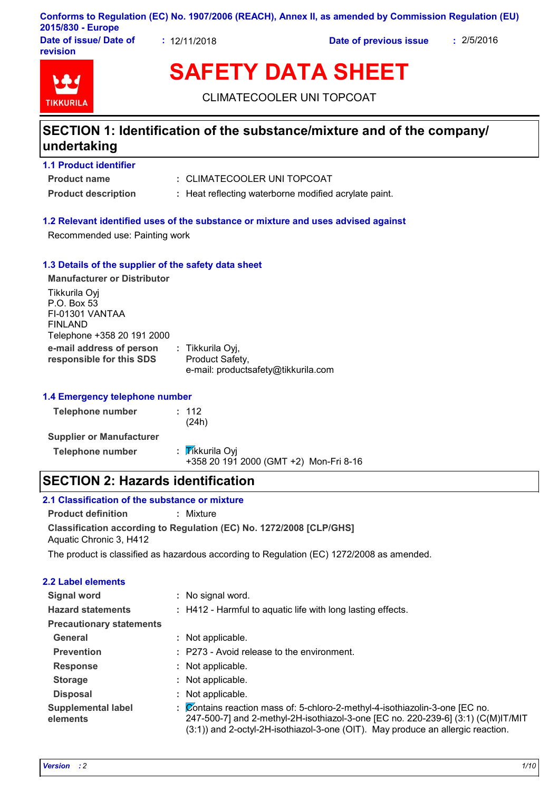| Conforms to Regulation (EC) No. 1907/2006 (REACH), Annex II, as amended by Commission Regulation (EU) |  |
|-------------------------------------------------------------------------------------------------------|--|
| 2015/830 - Europe                                                                                     |  |

**Date of issue/ Date of revision**

**:** 12/11/2018 **Date of previous issue :** 2/5/2016

**TIKKURIL** 

# **SAFETY DATA SHEET**

CLIMATECOOLER UNI TOPCOAT

### **SECTION 1: Identification of the substance/mixture and of the company/ undertaking**

### **Product name 1.1 Product identifier**

CLIMATECOOLER UNI TOPCOAT **:**

**Product description : Heat reflecting waterborne modified acrylate paint.** 

### **1.2 Relevant identified uses of the substance or mixture and uses advised against**

Recommended use: Painting work

### **1.3 Details of the supplier of the safety data sheet**

| <b>Manufacturer or Distributor</b>                                                       |                                                                            |
|------------------------------------------------------------------------------------------|----------------------------------------------------------------------------|
| Tikkurila Oyj<br>P.O. Box 53<br>FI-01301 VANTAA<br>FINLAND<br>Telephone +358 20 191 2000 |                                                                            |
| e-mail address of person<br>responsible for this SDS                                     | : Tikkurila Oyj,<br>Product Safety,<br>e-mail: productsafety@tikkurila.com |

### **1.4 Emergency telephone number**

| <b>Telephone number</b>         | : 112<br>(24h)                                            |  |
|---------------------------------|-----------------------------------------------------------|--|
| <b>Supplier or Manufacturer</b> |                                                           |  |
| <b>Telephone number</b>         | : Tikkurila Oyi<br>+358 20 191 2000 (GMT +2) Mon-Fri 8-16 |  |

### **SECTION 2: Hazards identification**

### **2.1 Classification of the substance or mixture**

**Product definition :** Mixture

**Classification according to Regulation (EC) No. 1272/2008 [CLP/GHS]** Aquatic Chronic 3, H412

The product is classified as hazardous according to Regulation (EC) 1272/2008 as amended.

### **2.2 Label elements**

| Signal word                           | No signal word.                                                                                                                                                                                                                                  |  |
|---------------------------------------|--------------------------------------------------------------------------------------------------------------------------------------------------------------------------------------------------------------------------------------------------|--|
| <b>Hazard statements</b>              | : H412 - Harmful to aquatic life with long lasting effects.                                                                                                                                                                                      |  |
| <b>Precautionary statements</b>       |                                                                                                                                                                                                                                                  |  |
| General                               | : Not applicable.                                                                                                                                                                                                                                |  |
| <b>Prevention</b>                     | : P273 - Avoid release to the environment.                                                                                                                                                                                                       |  |
| <b>Response</b>                       | Not applicable.                                                                                                                                                                                                                                  |  |
| <b>Storage</b>                        | Not applicable.                                                                                                                                                                                                                                  |  |
| <b>Disposal</b>                       | Not applicable.                                                                                                                                                                                                                                  |  |
| <b>Supplemental label</b><br>elements | Contains reaction mass of: 5-chloro-2-methyl-4-isothiazolin-3-one [EC no.<br>247-500-7] and 2-methyl-2H-isothiazol-3-one [EC no. 220-239-6] (3:1) (C(M)IT/MIT<br>(3:1)) and 2-octyl-2H-isothiazol-3-one (OIT). May produce an allergic reaction. |  |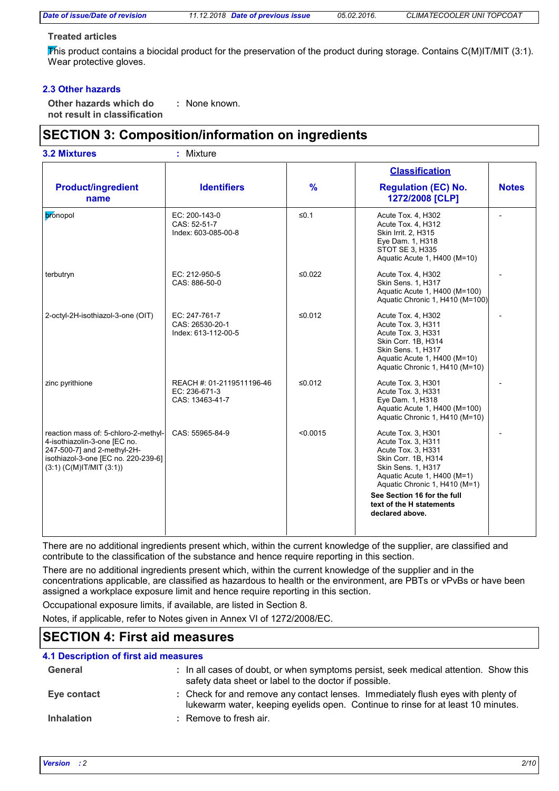*Date of issue/Date of revision 11.12.2018 Date of previous issue 05.02.2016. CLIMATECOOLER UNI TOPCOAT*

### **Treated articles**

This product contains a biocidal product for the preservation of the product during storage. Contains  $C(M)IT/MIT$  (3:1). Wear protective gloves.

### **2.3 Other hazards**

**Other hazards which do : not result in classification** : None known.

### **SECTION 3: Composition/information on ingredients**

| <b>3.2 Mixtures</b>                                                                                                                                                         | : Mixture                                                     |               |                                                                                                                                                                                                                                                           |              |
|-----------------------------------------------------------------------------------------------------------------------------------------------------------------------------|---------------------------------------------------------------|---------------|-----------------------------------------------------------------------------------------------------------------------------------------------------------------------------------------------------------------------------------------------------------|--------------|
| <b>Product/ingredient</b><br>name                                                                                                                                           | <b>Identifiers</b>                                            | $\frac{9}{6}$ | <b>Classification</b><br><b>Regulation (EC) No.</b><br>1272/2008 [CLP]                                                                                                                                                                                    | <b>Notes</b> |
| bronopol                                                                                                                                                                    | EC: 200-143-0<br>CAS: 52-51-7<br>Index: 603-085-00-8          | $\leq 0.1$    | Acute Tox. 4, H302<br>Acute Tox. 4, H312<br>Skin Irrit. 2, H315<br>Eye Dam. 1, H318<br>STOT SE 3, H335<br>Aquatic Acute 1, H400 (M=10)                                                                                                                    |              |
| terbutryn                                                                                                                                                                   | EC: 212-950-5<br>CAS: 886-50-0                                | ≤0.022        | Acute Tox. 4, H302<br>Skin Sens. 1, H317<br>Aquatic Acute 1, H400 (M=100)<br>Aquatic Chronic 1, H410 (M=100)                                                                                                                                              |              |
| 2-octyl-2H-isothiazol-3-one (OIT)                                                                                                                                           | EC: 247-761-7<br>CAS: 26530-20-1<br>Index: 613-112-00-5       | ≤0.012        | Acute Tox. 4, H302<br>Acute Tox. 3, H311<br>Acute Tox. 3, H331<br>Skin Corr. 1B, H314<br>Skin Sens. 1, H317<br>Aquatic Acute 1, H400 (M=10)<br>Aquatic Chronic 1, H410 (M=10)                                                                             |              |
| zinc pyrithione                                                                                                                                                             | REACH #: 01-2119511196-46<br>EC: 236-671-3<br>CAS: 13463-41-7 | ≤0.012        | Acute Tox. 3, H301<br>Acute Tox. 3, H331<br>Eye Dam. 1, H318<br>Aquatic Acute 1, H400 (M=100)<br>Aquatic Chronic 1, H410 (M=10)                                                                                                                           |              |
| reaction mass of: 5-chloro-2-methyl-<br>4-isothiazolin-3-one [EC no.<br>247-500-7] and 2-methyl-2H-<br>isothiazol-3-one [EC no. 220-239-6]<br>$(3:1)$ (C(M)IT/MIT $(3:1)$ ) | CAS: 55965-84-9                                               | < 0.0015      | Acute Tox. 3, H301<br>Acute Tox. 3, H311<br>Acute Tox. 3, H331<br>Skin Corr. 1B, H314<br>Skin Sens. 1, H317<br>Aquatic Acute 1, H400 (M=1)<br>Aquatic Chronic 1, H410 (M=1)<br>See Section 16 for the full<br>text of the H statements<br>declared above. |              |

There are no additional ingredients present which, within the current knowledge of the supplier, are classified and contribute to the classification of the substance and hence require reporting in this section.

There are no additional ingredients present which, within the current knowledge of the supplier and in the concentrations applicable, are classified as hazardous to health or the environment, are PBTs or vPvBs or have been assigned a workplace exposure limit and hence require reporting in this section.

Occupational exposure limits, if available, are listed in Section 8.

Notes, if applicable, refer to Notes given in Annex VI of 1272/2008/EC.

### **SECTION 4: First aid measures**

### **4.1 Description of first aid measures**

| General           | : In all cases of doubt, or when symptoms persist, seek medical attention. Show this<br>safety data sheet or label to the doctor if possible.                        |
|-------------------|----------------------------------------------------------------------------------------------------------------------------------------------------------------------|
| Eye contact       | : Check for and remove any contact lenses. Immediately flush eyes with plenty of<br>lukewarm water, keeping eyelids open. Continue to rinse for at least 10 minutes. |
| <b>Inhalation</b> | $\therefore$ Remove to fresh air.                                                                                                                                    |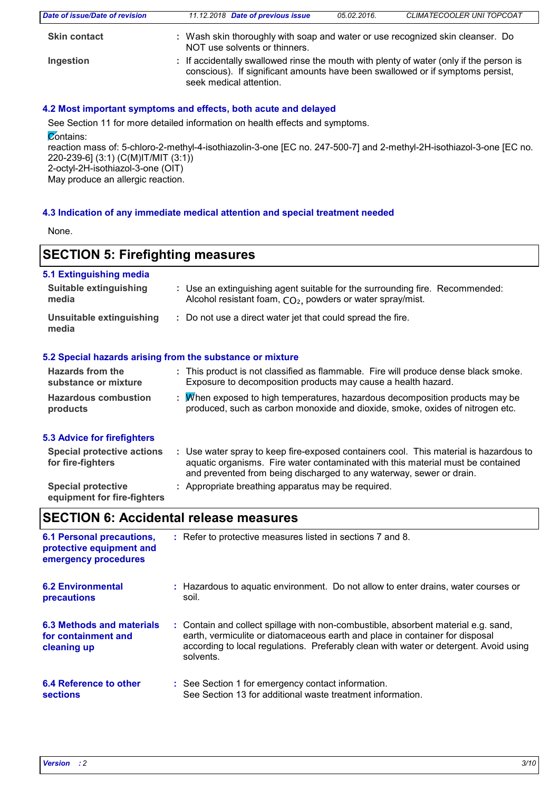| Date of issue/Date of revision | 11.12.2018 Date of previous issue                                                                                                                                                                    | 05.02.2016. | CLIMATECOOLER UNI TOPCOAT |
|--------------------------------|------------------------------------------------------------------------------------------------------------------------------------------------------------------------------------------------------|-------------|---------------------------|
| <b>Skin contact</b>            | : Wash skin thoroughly with soap and water or use recognized skin cleanser. Do<br>NOT use solvents or thinners.                                                                                      |             |                           |
| Ingestion                      | : If accidentally swallowed rinse the mouth with plenty of water (only if the person is<br>conscious). If significant amounts have been swallowed or if symptoms persist,<br>seek medical attention. |             |                           |

### **4.2 Most important symptoms and effects, both acute and delayed**

See Section 11 for more detailed information on health effects and symptoms.

 $\overline{\mathcal{C}}$ ontains:

reaction mass of: 5-chloro-2-methyl-4-isothiazolin-3-one [EC no. 247-500-7] and 2-methyl-2H-isothiazol-3-one [EC no. 220-239-6] (3:1) (C(M)IT/MIT (3:1)) 2-octyl-2H-isothiazol-3-one (OIT)

May produce an allergic reaction.

### **4.3 Indication of any immediate medical attention and special treatment needed**

None.

### **SECTION 5: Firefighting measures**

| <b>Suitable extinguishing</b><br>: Use an extinguishing agent suitable for the surrounding fire. Recommended:<br>Alcohol resistant foam, CO <sub>2</sub> , powders or water spray/mist.<br>media<br>Unsuitable extinguishing<br>: Do not use a direct water jet that could spread the fire.<br>media<br>5.2 Special hazards arising from the substance or mixture<br>Hazards from the<br>: This product is not classified as flammable. Fire will produce dense black smoke.<br>Exposure to decomposition products may cause a health hazard.<br>substance or mixture<br><b>Hazardous combustion</b><br>: M/hen exposed to high temperatures, hazardous decomposition products may be<br>produced, such as carbon monoxide and dioxide, smoke, oxides of nitrogen etc.<br>products<br>: Use water spray to keep fire-exposed containers cool. This material is hazardous to<br><b>Special protective actions</b><br>aquatic organisms. Fire water contaminated with this material must be contained<br>for fire-fighters<br>and prevented from being discharged to any waterway, sewer or drain. |                                    |  |
|--------------------------------------------------------------------------------------------------------------------------------------------------------------------------------------------------------------------------------------------------------------------------------------------------------------------------------------------------------------------------------------------------------------------------------------------------------------------------------------------------------------------------------------------------------------------------------------------------------------------------------------------------------------------------------------------------------------------------------------------------------------------------------------------------------------------------------------------------------------------------------------------------------------------------------------------------------------------------------------------------------------------------------------------------------------------------------------------------|------------------------------------|--|
|                                                                                                                                                                                                                                                                                                                                                                                                                                                                                                                                                                                                                                                                                                                                                                                                                                                                                                                                                                                                                                                                                                  | 5.1 Extinguishing media            |  |
|                                                                                                                                                                                                                                                                                                                                                                                                                                                                                                                                                                                                                                                                                                                                                                                                                                                                                                                                                                                                                                                                                                  |                                    |  |
|                                                                                                                                                                                                                                                                                                                                                                                                                                                                                                                                                                                                                                                                                                                                                                                                                                                                                                                                                                                                                                                                                                  |                                    |  |
|                                                                                                                                                                                                                                                                                                                                                                                                                                                                                                                                                                                                                                                                                                                                                                                                                                                                                                                                                                                                                                                                                                  |                                    |  |
|                                                                                                                                                                                                                                                                                                                                                                                                                                                                                                                                                                                                                                                                                                                                                                                                                                                                                                                                                                                                                                                                                                  |                                    |  |
|                                                                                                                                                                                                                                                                                                                                                                                                                                                                                                                                                                                                                                                                                                                                                                                                                                                                                                                                                                                                                                                                                                  |                                    |  |
|                                                                                                                                                                                                                                                                                                                                                                                                                                                                                                                                                                                                                                                                                                                                                                                                                                                                                                                                                                                                                                                                                                  | <b>5.3 Advice for firefighters</b> |  |
|                                                                                                                                                                                                                                                                                                                                                                                                                                                                                                                                                                                                                                                                                                                                                                                                                                                                                                                                                                                                                                                                                                  |                                    |  |

**Special protective : Appropriate breathing apparatus may be required. equipment for fire-fighters**

**SECTION 6: Accidental release measures**

| <b>6.1 Personal precautions,</b><br>protective equipment and<br>emergency procedures | : Refer to protective measures listed in sections 7 and 8.                                                                                                                                                                                                               |
|--------------------------------------------------------------------------------------|--------------------------------------------------------------------------------------------------------------------------------------------------------------------------------------------------------------------------------------------------------------------------|
| <b>6.2 Environmental</b>                                                             | : Hazardous to aguatic environment. Do not allow to enter drains, water courses or                                                                                                                                                                                       |
| precautions                                                                          | soil.                                                                                                                                                                                                                                                                    |
| 6.3 Methods and materials<br>for containment and<br>cleaning up                      | : Contain and collect spillage with non-combustible, absorbent material e.g. sand,<br>earth, vermiculite or diatomaceous earth and place in container for disposal<br>according to local regulations. Preferably clean with water or detergent. Avoid using<br>solvents. |
| 6.4 Reference to other                                                               | : See Section 1 for emergency contact information.                                                                                                                                                                                                                       |
| <b>sections</b>                                                                      | See Section 13 for additional waste treatment information.                                                                                                                                                                                                               |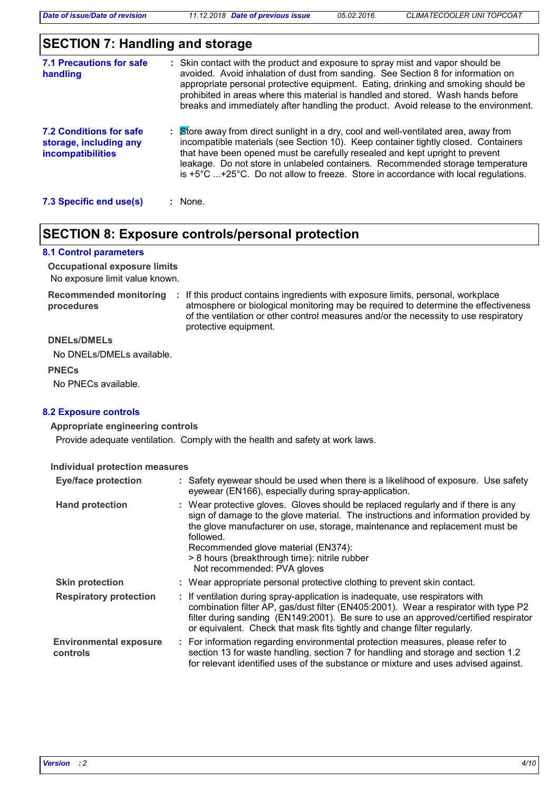### **SECTION 7: Handling and storage**

| 7.1 Precautions for safe<br>handling                                   | : Skin contact with the product and exposure to spray mist and vapor should be<br>avoided. Avoid inhalation of dust from sanding. See Section 8 for information on<br>appropriate personal protective equipment. Eating, drinking and smoking should be<br>prohibited in areas where this material is handled and stored. Wash hands before<br>breaks and immediately after handling the product. Avoid release to the environment.                  |
|------------------------------------------------------------------------|------------------------------------------------------------------------------------------------------------------------------------------------------------------------------------------------------------------------------------------------------------------------------------------------------------------------------------------------------------------------------------------------------------------------------------------------------|
| 7.2 Conditions for safe<br>storage, including any<br>incompatibilities | Store away from direct sunlight in a dry, cool and well-ventilated area, away from<br>incompatible materials (see Section 10). Keep container tightly closed. Containers<br>that have been opened must be carefully resealed and kept upright to prevent<br>leakage. Do not store in unlabeled containers. Recommended storage temperature<br>is $+5^{\circ}$ C $+25^{\circ}$ C. Do not allow to freeze. Store in accordance with local regulations. |
| 7.3 Specific end use(s)                                                | : None.                                                                                                                                                                                                                                                                                                                                                                                                                                              |

### **SECTION 8: Exposure controls/personal protection**

#### **8.1 Control parameters**

No exposure limit value known. **Occupational exposure limits**

**procedures**

Recommended monitoring : If this product contains ingredients with exposure limits, personal, workplace atmosphere or biological monitoring may be required to determine the effectiveness of the ventilation or other control measures and/or the necessity to use respiratory protective equipment.

#### **DNELs/DMELs**

No DNELs/DMELs available.

**PNECs**

No PNECs available.

### **8.2 Exposure controls**

### **Appropriate engineering controls**

Provide adequate ventilation. Comply with the health and safety at work laws.

#### **Individual protection measures**

| <b>Eye/face protection</b>                | : Safety eyewear should be used when there is a likelihood of exposure. Use safety<br>eyewear (EN166), especially during spray-application.                                                                                                                                                                                                                                                |
|-------------------------------------------|--------------------------------------------------------------------------------------------------------------------------------------------------------------------------------------------------------------------------------------------------------------------------------------------------------------------------------------------------------------------------------------------|
| <b>Hand protection</b>                    | : Wear protective gloves. Gloves should be replaced regularly and if there is any<br>sign of damage to the glove material. The instructions and information provided by<br>the glove manufacturer on use, storage, maintenance and replacement must be<br>followed.<br>Recommended glove material (EN374):<br>> 8 hours (breakthrough time): nitrile rubber<br>Not recommended: PVA gloves |
| <b>Skin protection</b>                    | : Wear appropriate personal protective clothing to prevent skin contact.                                                                                                                                                                                                                                                                                                                   |
| <b>Respiratory protection</b>             | : If ventilation during spray-application is inadequate, use respirators with<br>combination filter AP, gas/dust filter (EN405:2001). Wear a respirator with type P2<br>filter during sanding (EN149:2001). Be sure to use an approved/certified respirator<br>or equivalent. Check that mask fits tightly and change filter regularly.                                                    |
| <b>Environmental exposure</b><br>controls | : For information regarding environmental protection measures, please refer to<br>section 13 for waste handling, section 7 for handling and storage and section 1.2<br>for relevant identified uses of the substance or mixture and uses advised against.                                                                                                                                  |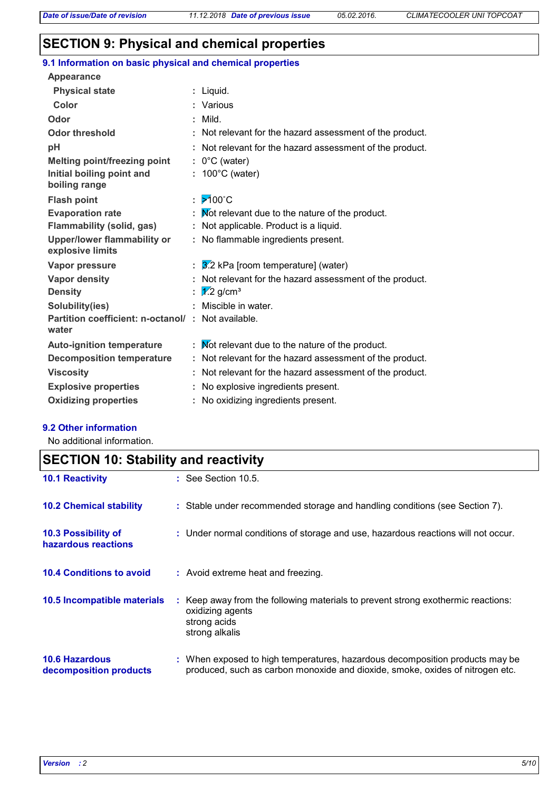### **SECTION 9: Physical and chemical properties**

|  |  | 9.1 Information on basic physical and chemical properties |  |
|--|--|-----------------------------------------------------------|--|
|  |  |                                                           |  |

| <b>Appearance</b>                                      |    |                                                          |
|--------------------------------------------------------|----|----------------------------------------------------------|
| <b>Physical state</b>                                  |    | : Liquid.                                                |
| Color                                                  |    | : Various                                                |
| Odor                                                   |    | $:$ Mild.                                                |
| <b>Odor threshold</b>                                  |    | : Not relevant for the hazard assessment of the product. |
| pH                                                     |    | Not relevant for the hazard assessment of the product.   |
| <b>Melting point/freezing point</b>                    |    | $: 0^{\circ}$ C (water)                                  |
| Initial boiling point and<br>boiling range             | t. | 100°C (water)                                            |
| <b>Flash point</b>                                     | ÷. | $\cancel{5}100^{\circ}$ C                                |
| <b>Evaporation rate</b>                                |    | : Mot relevant due to the nature of the product.         |
| Flammability (solid, gas)                              |    | : Not applicable. Product is a liquid.                   |
| <b>Upper/lower flammability or</b><br>explosive limits |    | : No flammable ingredients present.                      |
| Vapor pressure                                         |    | $\frac{3}{2}$ kPa [room temperature] (water)             |
| Vapor density                                          |    | : Not relevant for the hazard assessment of the product. |
| <b>Density</b>                                         | ÷. | $\sqrt{1/2}$ g/cm <sup>3</sup>                           |
| Solubility(ies)                                        |    | : Miscible in water.                                     |
| Partition coefficient: n-octanol/:<br>water            |    | Not available.                                           |
| <b>Auto-ignition temperature</b>                       |    | : Mot relevant due to the nature of the product.         |
| <b>Decomposition temperature</b>                       |    | : Not relevant for the hazard assessment of the product. |
| <b>Viscosity</b>                                       |    | Not relevant for the hazard assessment of the product.   |
| <b>Explosive properties</b>                            | ÷. | No explosive ingredients present.                        |
| <b>Oxidizing properties</b>                            |    | : No oxidizing ingredients present.                      |

### **9.2 Other information**

No additional information.

## **SECTION 10: Stability and reactivity**

| <b>10.1 Reactivity</b>                            | $:$ See Section 10.5.                                                                                                                                         |
|---------------------------------------------------|---------------------------------------------------------------------------------------------------------------------------------------------------------------|
| <b>10.2 Chemical stability</b>                    | : Stable under recommended storage and handling conditions (see Section 7).                                                                                   |
| <b>10.3 Possibility of</b><br>hazardous reactions | : Under normal conditions of storage and use, hazardous reactions will not occur.                                                                             |
| <b>10.4 Conditions to avoid</b>                   | : Avoid extreme heat and freezing.                                                                                                                            |
| 10.5 Incompatible materials                       | : Keep away from the following materials to prevent strong exothermic reactions:<br>oxidizing agents<br>strong acids<br>strong alkalis                        |
| <b>10.6 Hazardous</b><br>decomposition products   | : When exposed to high temperatures, hazardous decomposition products may be<br>produced, such as carbon monoxide and dioxide, smoke, oxides of nitrogen etc. |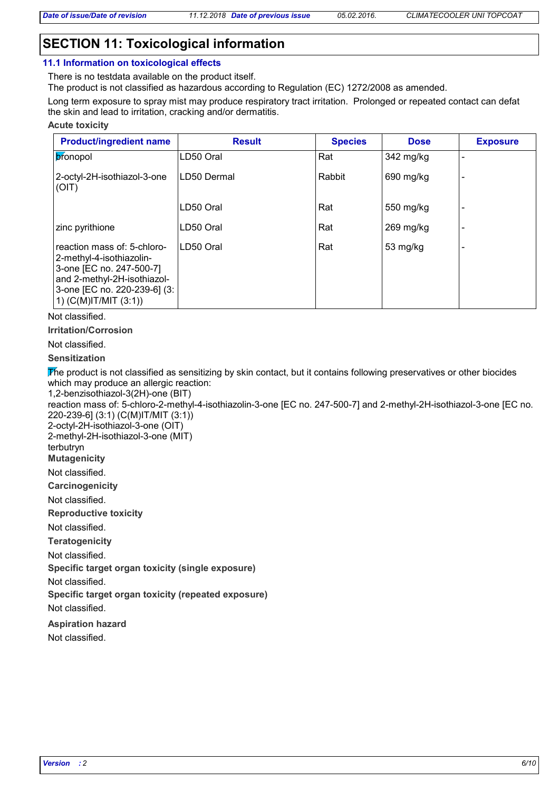### **SECTION 11: Toxicological information**

#### **11.1 Information on toxicological effects**

There is no testdata available on the product itself.

The product is not classified as hazardous according to Regulation (EC) 1272/2008 as amended.

Long term exposure to spray mist may produce respiratory tract irritation. Prolonged or repeated contact can defat the skin and lead to irritation, cracking and/or dermatitis.

#### **Acute toxicity**

| <b>Product/ingredient name</b>                                                                                                                                                  | <b>Result</b> | <b>Species</b> | <b>Dose</b> | <b>Exposure</b> |
|---------------------------------------------------------------------------------------------------------------------------------------------------------------------------------|---------------|----------------|-------------|-----------------|
| bronopol                                                                                                                                                                        | LD50 Oral     | Rat            | 342 mg/kg   |                 |
| 2-octyl-2H-isothiazol-3-one<br>(OIT)                                                                                                                                            | LD50 Dermal   | Rabbit         | 690 mg/kg   |                 |
|                                                                                                                                                                                 | LD50 Oral     | Rat            | 550 mg/kg   |                 |
| zinc pyrithione                                                                                                                                                                 | LD50 Oral     | Rat            | $269$ mg/kg |                 |
| reaction mass of: 5-chloro-<br>2-methyl-4-isothiazolin-<br>3-one [EC no. 247-500-7]<br>and 2-methyl-2H-isothiazol-<br>3-one [EC no. 220-239-6] (3:<br>1) $(C(M)$ IT/MIT $(3:1)$ | LD50 Oral     | Rat            | 53 mg/kg    |                 |

Not classified.

**Irritation/Corrosion**

### Not classified.

### **Sensitization**

The product is not classified as sensitizing by skin contact, but it contains following preservatives or other biocides which may produce an allergic reaction:

1,2-benzisothiazol-3(2H)-one (BIT)

reaction mass of: 5-chloro-2-methyl-4-isothiazolin-3-one [EC no. 247-500-7] and 2-methyl-2H-isothiazol-3-one [EC no. 220-239-6] (3:1) (C(M)IT/MIT (3:1))

2-octyl-2H-isothiazol-3-one (OIT) 2-methyl-2H-isothiazol-3-one (MIT)

terbutryn

**Mutagenicity**

Not classified.

**Carcinogenicity**

Not classified.

**Reproductive toxicity**

Not classified.

**Teratogenicity**

Not classified.

**Specific target organ toxicity (single exposure)**

Not classified.

**Specific target organ toxicity (repeated exposure)**

Not classified.

**Aspiration hazard**

Not classified.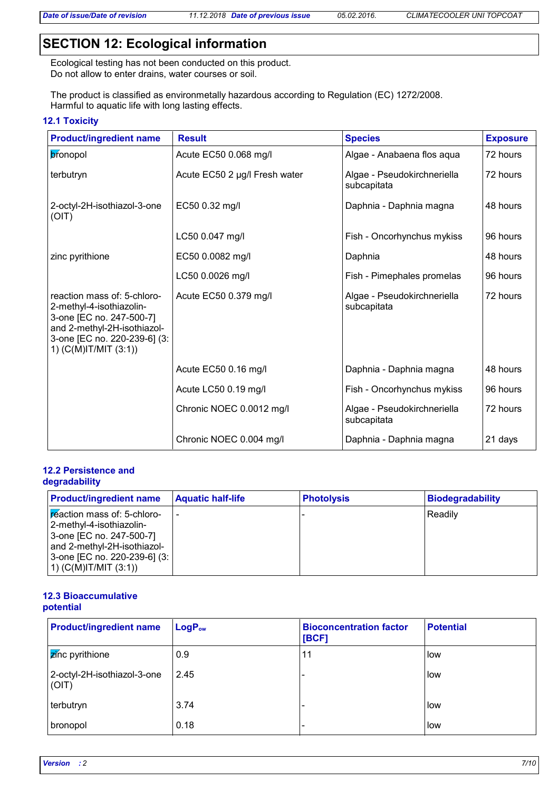### **SECTION 12: Ecological information**

Ecological testing has not been conducted on this product. Do not allow to enter drains, water courses or soil.

The product is classified as environmetally hazardous according to Regulation (EC) 1272/2008. Harmful to aquatic life with long lasting effects.

### **12.1 Toxicity**

| <b>Product/ingredient name</b>                                                                                                                                              | <b>Result</b>                 | <b>Species</b>                             | <b>Exposure</b> |
|-----------------------------------------------------------------------------------------------------------------------------------------------------------------------------|-------------------------------|--------------------------------------------|-----------------|
| bronopol                                                                                                                                                                    | Acute EC50 0.068 mg/l         | Algae - Anabaena flos aqua                 | 72 hours        |
| terbutryn                                                                                                                                                                   | Acute EC50 2 µg/l Fresh water | Algae - Pseudokirchneriella<br>subcapitata | 72 hours        |
| 2-octyl-2H-isothiazol-3-one<br>(OIT)                                                                                                                                        | EC50 0.32 mg/l                | Daphnia - Daphnia magna                    | 48 hours        |
|                                                                                                                                                                             | LC50 0.047 mg/l               | Fish - Oncorhynchus mykiss                 | 96 hours        |
| zinc pyrithione                                                                                                                                                             | EC50 0.0082 mg/l              | Daphnia                                    | 48 hours        |
|                                                                                                                                                                             | LC50 0.0026 mg/l              | Fish - Pimephales promelas                 | 96 hours        |
| reaction mass of: 5-chloro-<br>2-methyl-4-isothiazolin-<br>3-one [EC no. 247-500-7]<br>and 2-methyl-2H-isothiazol-<br>3-one [EC no. 220-239-6] (3:<br>1) (C(M)IT/MIT (3:1)) | Acute EC50 0.379 mg/l         | Algae - Pseudokirchneriella<br>subcapitata | 72 hours        |
|                                                                                                                                                                             | Acute EC50 0.16 mg/l          | Daphnia - Daphnia magna                    | 48 hours        |
|                                                                                                                                                                             | Acute LC50 0.19 mg/l          | Fish - Oncorhynchus mykiss                 | 96 hours        |
|                                                                                                                                                                             | Chronic NOEC 0.0012 mg/l      | Algae - Pseudokirchneriella<br>subcapitata | 72 hours        |
|                                                                                                                                                                             | Chronic NOEC 0.004 mg/l       | Daphnia - Daphnia magna                    | 21 days         |

### **12.2 Persistence and degradability**

| <b>Product/ingredient name</b>                                                                                            | <b>Aquatic half-life</b> | <b>Photolysis</b> | Biodegradability |
|---------------------------------------------------------------------------------------------------------------------------|--------------------------|-------------------|------------------|
| <b>Exection mass of: 5-chloro-</b><br>2-methyl-4-isothiazolin-<br>3-one [EC no. 247-500-7]<br>and 2-methyl-2H-isothiazol- |                          |                   | Readily          |
| 3-one [EC no. 220-239-6] (3:<br>$(1)$ (C(M)IT/MIT (3:1))                                                                  |                          |                   |                  |

### **12.3 Bioaccumulative potential**

| <b>Product/ingredient name</b>           | <b>LogPow</b> | <b>Bioconcentration factor</b><br>[BCF] | <b>Potential</b> |
|------------------------------------------|---------------|-----------------------------------------|------------------|
| $\sqrt{\mathbf{z}}$ <i>nc</i> pyrithione | 0.9           | 11                                      | low              |
| 2-octyl-2H-isothiazol-3-one<br>(OIT)     | 2.45          |                                         | low              |
| terbutryn                                | 3.74          |                                         | llow             |
| bronopol                                 | 0.18          |                                         | low              |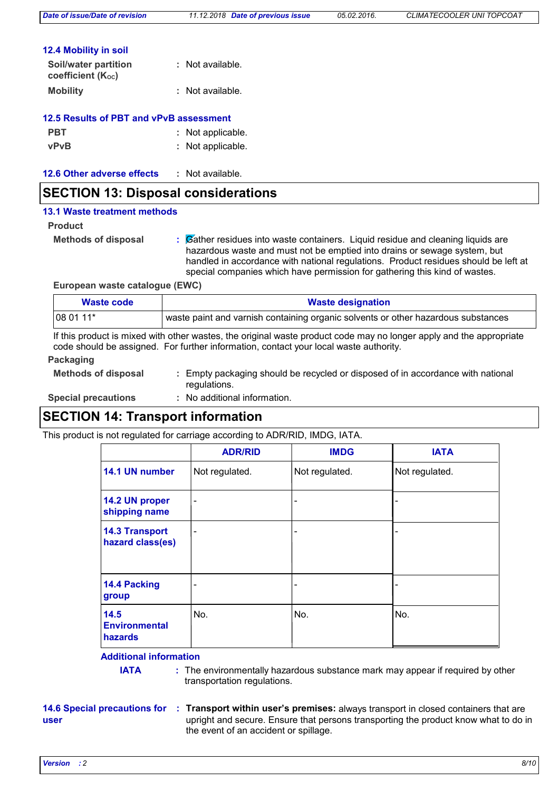| <b>12.4 Mobility in soil</b> |
|------------------------------|
|------------------------------|

| Soil/water partition<br>coefficient (K <sub>oc</sub> ) | : Not available. |
|--------------------------------------------------------|------------------|
| <b>Mobility</b>                                        | : Not available. |

|  |  | <b>12.5 Results of PBT and vPvB assessment</b> |  |
|--|--|------------------------------------------------|--|
|  |  |                                                |  |

| <b>PBT</b>  | : Not applicable. |
|-------------|-------------------|
| <b>vPvB</b> | : Not applicable. |

| 12.6 Other adverse effects<br>Not available. |  |
|----------------------------------------------|--|
|----------------------------------------------|--|

### **SECTION 13: Disposal considerations**

### **13.1 Waste treatment methods**

**Product**

**Methods of disposal :**

Gather residues into waste containers. Liquid residue and cleaning liquids are hazardous waste and must not be emptied into drains or sewage system, but handled in accordance with national regulations. Product residues should be left at special companies which have permission for gathering this kind of wastes.

**European waste catalogue (EWC)**

| Waste code | <b>Waste designation</b>                                                          |
|------------|-----------------------------------------------------------------------------------|
| $1080111*$ | waste paint and varnish containing organic solvents or other hazardous substances |

If this product is mixed with other wastes, the original waste product code may no longer apply and the appropriate code should be assigned. For further information, contact your local waste authority.

#### **Packaging**

| Empty packaging should be recycled or disposed of in accordance with national<br><b>Methods of disposal</b><br>regulations. |  |
|-----------------------------------------------------------------------------------------------------------------------------|--|
| : No additional information.<br><b>Special precautions</b>                                                                  |  |

### **SECTION 14: Transport information**

This product is not regulated for carriage according to ADR/RID, IMDG, IATA.

|                                           | <b>ADR/RID</b>               | <b>IMDG</b>              | <b>IATA</b>    |
|-------------------------------------------|------------------------------|--------------------------|----------------|
| 14.1 UN number                            | Not regulated.               | Not regulated.           | Not regulated. |
| 14.2 UN proper<br>shipping name           | $\qquad \qquad \blacksquare$ | $\overline{\phantom{a}}$ |                |
| <b>14.3 Transport</b><br>hazard class(es) | $\qquad \qquad \blacksquare$ | $\overline{\phantom{a}}$ |                |
| 14.4 Packing<br>group                     |                              | $\overline{\phantom{a}}$ |                |
| 14.5<br><b>Environmental</b><br>hazards   | No.                          | No.                      | No.            |

### **Additional information**

**IATA** : The environmentally hazardous substance mark may appear if required by other transportation regulations.

### **14.6 Special precautions for user**

**Transport within user's premises:** always transport in closed containers that are **:** upright and secure. Ensure that persons transporting the product know what to do in the event of an accident or spillage.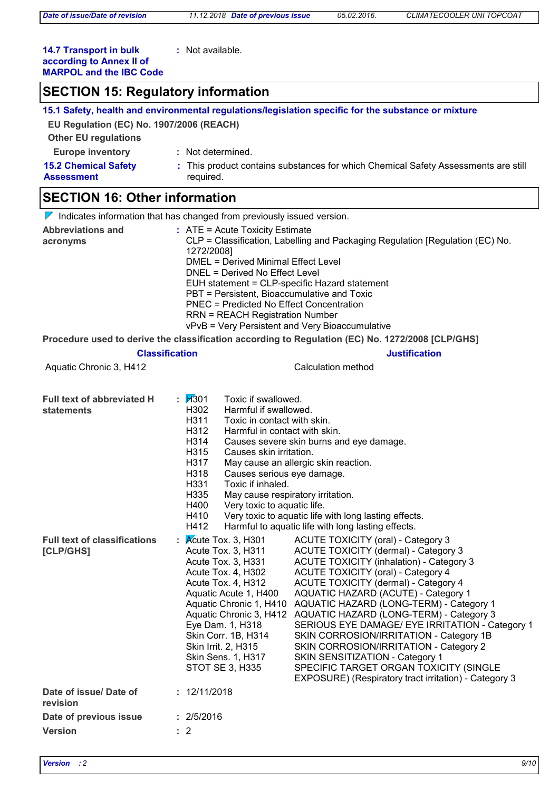**:** Not available.

### **14.7 Transport in bulk according to Annex II of MARPOL and the IBC Code**

| <b>SECTION 15: Regulatory information</b>              |                                                                                                                                                                                                                                                                                                                                                                                                                                                                                                                                                                                                                                                                                                                                                                                                                                                                                                                                                                      |  |  |  |
|--------------------------------------------------------|----------------------------------------------------------------------------------------------------------------------------------------------------------------------------------------------------------------------------------------------------------------------------------------------------------------------------------------------------------------------------------------------------------------------------------------------------------------------------------------------------------------------------------------------------------------------------------------------------------------------------------------------------------------------------------------------------------------------------------------------------------------------------------------------------------------------------------------------------------------------------------------------------------------------------------------------------------------------|--|--|--|
|                                                        | 15.1 Safety, health and environmental regulations/legislation specific for the substance or mixture                                                                                                                                                                                                                                                                                                                                                                                                                                                                                                                                                                                                                                                                                                                                                                                                                                                                  |  |  |  |
| EU Regulation (EC) No. 1907/2006 (REACH)               |                                                                                                                                                                                                                                                                                                                                                                                                                                                                                                                                                                                                                                                                                                                                                                                                                                                                                                                                                                      |  |  |  |
| <b>Other EU regulations</b>                            |                                                                                                                                                                                                                                                                                                                                                                                                                                                                                                                                                                                                                                                                                                                                                                                                                                                                                                                                                                      |  |  |  |
| <b>Europe inventory</b>                                | : Not determined.                                                                                                                                                                                                                                                                                                                                                                                                                                                                                                                                                                                                                                                                                                                                                                                                                                                                                                                                                    |  |  |  |
| <b>15.2 Chemical Safety</b><br><b>Assessment</b>       | : This product contains substances for which Chemical Safety Assessments are still<br>required.                                                                                                                                                                                                                                                                                                                                                                                                                                                                                                                                                                                                                                                                                                                                                                                                                                                                      |  |  |  |
| <b>SECTION 16: Other information</b>                   |                                                                                                                                                                                                                                                                                                                                                                                                                                                                                                                                                                                                                                                                                                                                                                                                                                                                                                                                                                      |  |  |  |
|                                                        | $\nabla$ Indicates information that has changed from previously issued version.                                                                                                                                                                                                                                                                                                                                                                                                                                                                                                                                                                                                                                                                                                                                                                                                                                                                                      |  |  |  |
| <b>Abbreviations and</b><br>acronyms                   | : ATE = Acute Toxicity Estimate<br>CLP = Classification, Labelling and Packaging Regulation [Regulation (EC) No.<br>1272/2008]<br><b>DMEL = Derived Minimal Effect Level</b><br>DNEL = Derived No Effect Level<br>EUH statement = CLP-specific Hazard statement<br>PBT = Persistent, Bioaccumulative and Toxic<br><b>PNEC = Predicted No Effect Concentration</b><br><b>RRN = REACH Registration Number</b><br>vPvB = Very Persistent and Very Bioaccumulative                                                                                                                                                                                                                                                                                                                                                                                                                                                                                                       |  |  |  |
|                                                        | Procedure used to derive the classification according to Regulation (EC) No. 1272/2008 [CLP/GHS]                                                                                                                                                                                                                                                                                                                                                                                                                                                                                                                                                                                                                                                                                                                                                                                                                                                                     |  |  |  |
|                                                        | <b>Classification</b><br><b>Justification</b>                                                                                                                                                                                                                                                                                                                                                                                                                                                                                                                                                                                                                                                                                                                                                                                                                                                                                                                        |  |  |  |
| Aquatic Chronic 3, H412                                | <b>Calculation method</b>                                                                                                                                                                                                                                                                                                                                                                                                                                                                                                                                                                                                                                                                                                                                                                                                                                                                                                                                            |  |  |  |
| <b>Full text of abbreviated H</b><br><b>statements</b> | : $1/301$<br>Toxic if swallowed.<br>H302<br>Harmful if swallowed.<br>H311<br>Toxic in contact with skin.<br>H312<br>Harmful in contact with skin.<br>H314<br>Causes severe skin burns and eye damage.<br>H315<br>Causes skin irritation.<br>H317<br>May cause an allergic skin reaction.<br>H318<br>Causes serious eye damage.<br>H331<br>Toxic if inhaled.<br>May cause respiratory irritation.<br>H335<br>H400<br>Very toxic to aquatic life.<br>Very toxic to aquatic life with long lasting effects.<br>H410<br>H412<br>Harmful to aquatic life with long lasting effects.                                                                                                                                                                                                                                                                                                                                                                                       |  |  |  |
| <b>Full text of classifications</b><br>[CLP/GHS]       | : $\overline{\mathsf{Acute}}$ Tox. 3, H301<br>ACUTE TOXICITY (oral) - Category 3<br>ACUTE TOXICITY (dermal) - Category 3<br>Acute Tox. 3, H311<br><b>ACUTE TOXICITY (inhalation) - Category 3</b><br>Acute Tox. 3, H331<br>Acute Tox. 4, H302<br><b>ACUTE TOXICITY (oral) - Category 4</b><br>Acute Tox. 4, H312<br>ACUTE TOXICITY (dermal) - Category 4<br>Aquatic Acute 1, H400<br>AQUATIC HAZARD (ACUTE) - Category 1<br><b>AQUATIC HAZARD (LONG-TERM) - Category 1</b><br>Aquatic Chronic 1, H410<br>Aquatic Chronic 3, H412<br>AQUATIC HAZARD (LONG-TERM) - Category 3<br>Eye Dam. 1, H318<br>SERIOUS EYE DAMAGE/ EYE IRRITATION - Category 1<br>Skin Corr. 1B, H314<br>SKIN CORROSION/IRRITATION - Category 1B<br>Skin Irrit. 2, H315<br>SKIN CORROSION/IRRITATION - Category 2<br>Skin Sens. 1, H317<br>SKIN SENSITIZATION - Category 1<br>SPECIFIC TARGET ORGAN TOXICITY (SINGLE<br>STOT SE 3, H335<br>EXPOSURE) (Respiratory tract irritation) - Category 3 |  |  |  |
| Date of issue/Date of<br>revision                      | : 12/11/2018                                                                                                                                                                                                                                                                                                                                                                                                                                                                                                                                                                                                                                                                                                                                                                                                                                                                                                                                                         |  |  |  |
| Date of previous issue                                 | : 2/5/2016                                                                                                                                                                                                                                                                                                                                                                                                                                                                                                                                                                                                                                                                                                                                                                                                                                                                                                                                                           |  |  |  |

**:** 2

**Version**